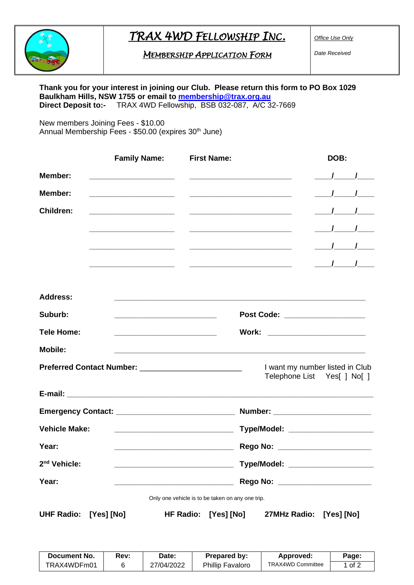## *TRAX 4WD FELLOWSHIP INC.*

*MEMBERSHIP APPLICATION FORM* 

*Office Use Only*

*Date Received*

## **Thank you for your interest in joining our Club. Please return this form to PO Box 1029 Baulkham Hills, NSW 1755 or email to [membership@trax.org.au](mailto:membership@trax.org.au) Direct Deposit to:-** TRAX 4WD Fellowship, BSB 032-087, A/C 32-7669

New members Joining Fees - \$10.00 Annual Membership Fees - \$50.00 (expires 30<sup>th</sup> June)

|                          | <b>Family Name:</b>                                                                                                   | <b>First Name:</b>                                 | DOB:                                                           |
|--------------------------|-----------------------------------------------------------------------------------------------------------------------|----------------------------------------------------|----------------------------------------------------------------|
| Member:                  |                                                                                                                       | <u> 1989 - Johann John Stone, mensk politik (</u>  | $\frac{1}{\sqrt{1-\frac{1}{2}}}$                               |
| Member:                  |                                                                                                                       | <u> 1989 - Johann John Stein, fransk politik (</u> | $\frac{1}{\sqrt{2}}$                                           |
| <b>Children:</b>         |                                                                                                                       |                                                    | $\frac{1}{\sqrt{1-\frac{1}{2}}}$                               |
|                          |                                                                                                                       |                                                    | $\frac{1}{\sqrt{1-\frac{1}{2}}}$                               |
|                          | <u> 1989 - Jan James James Barbara, president eta provincia eta presidente eta provincia eta presidente eta presi</u> |                                                    | $\frac{1}{\sqrt{1-\frac{1}{2}}}$                               |
|                          |                                                                                                                       |                                                    | $\frac{1}{\sqrt{1-\frac{1}{2}}}$                               |
|                          |                                                                                                                       |                                                    |                                                                |
| <b>Address:</b>          |                                                                                                                       |                                                    |                                                                |
| Suburb:                  | <u> 1989 - Johann Barbara, martxa al III-lea (h. 1989).</u>                                                           |                                                    | Post Code: ___________________                                 |
| <b>Tele Home:</b>        | <u> 1989 - Johann Barbara, martin da basar da basar da basar da basar da basar da basar da basar da basar da basa</u> |                                                    | Work: __________________________                               |
| <b>Mobile:</b>           |                                                                                                                       |                                                    | <u> 1989 - Johann Stoff, amerikansk politiker (d. 1989)</u>    |
|                          |                                                                                                                       |                                                    | I want my number listed in Club<br>Telephone List Yes[ ] No[ ] |
|                          |                                                                                                                       |                                                    |                                                                |
|                          |                                                                                                                       |                                                    |                                                                |
| <b>Vehicle Make:</b>     |                                                                                                                       |                                                    | Type/Model: ____________________                               |
| Year:                    |                                                                                                                       |                                                    | Rego No: <u>______________________</u>                         |
| 2 <sup>nd</sup> Vehicle: |                                                                                                                       |                                                    | Type/Model: _____________________                              |
| Year:                    |                                                                                                                       |                                                    | Rego No: ________________________                              |
|                          |                                                                                                                       | Only one vehicle is to be taken on any one trip.   |                                                                |
| <b>UHF Radio:</b>        | [Yes] [No]                                                                                                            | <b>HF Radio:</b><br>[Yes] [No]                     | 27MHz Radio:<br>[Yes] [No]                                     |

| <b>Document No.</b> | Rev: | Date:      | Prepared by:            | Approved:         | Page: |
|---------------------|------|------------|-------------------------|-------------------|-------|
| TRAX4WDFm01         |      | 27/04/2022 | <b>Phillip Favaloro</b> | TRAX4WD Committee | of 2  |